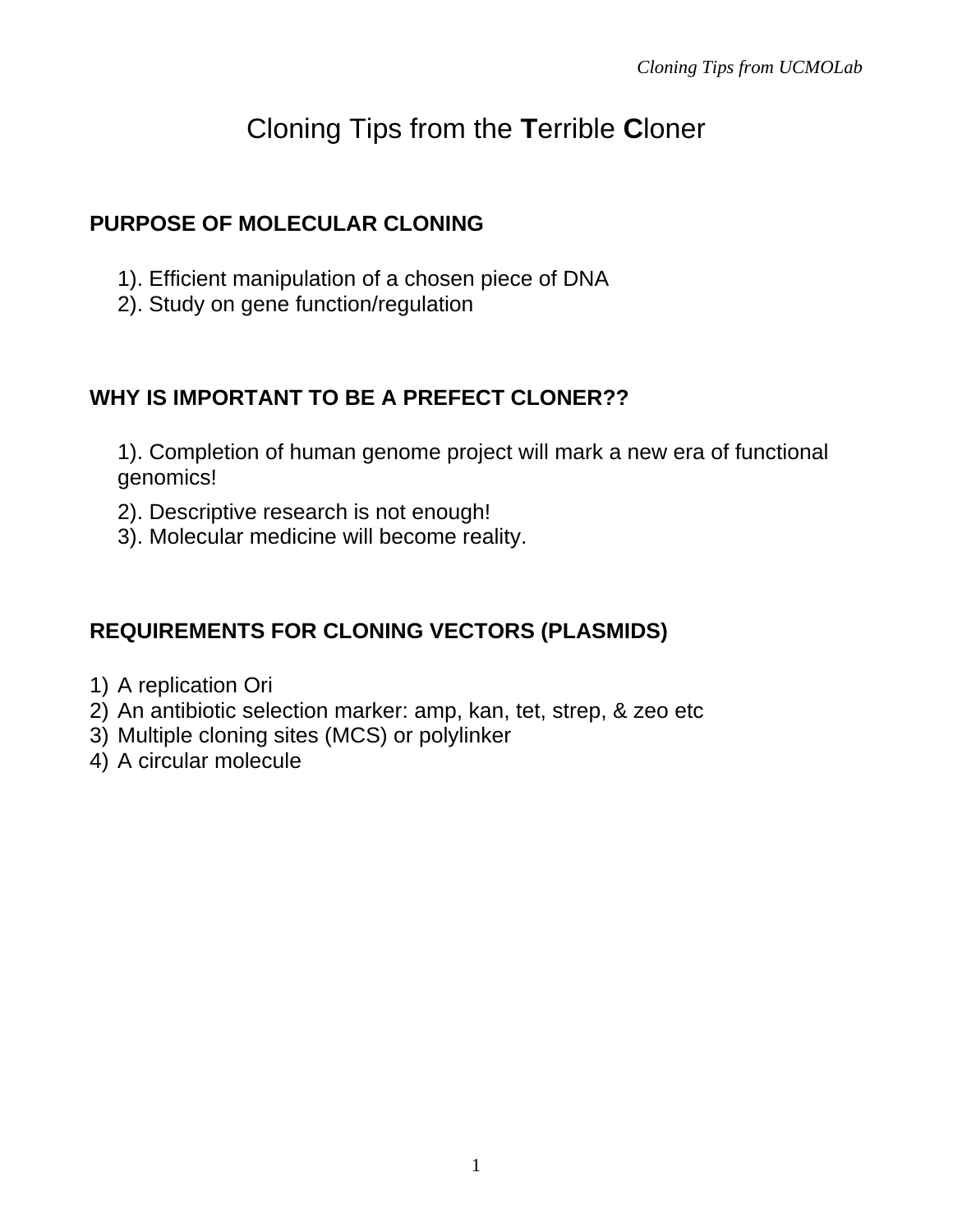# Cloning Tips from the **T**errible **C**loner

#### **PURPOSE OF MOLECULAR CLONING**

- 1). Efficient manipulation of a chosen piece of DNA
- 2). Study on gene function/regulation

### **WHY IS IMPORTANT TO BE A PREFECT CLONER??**

1). Completion of human genome project will mark a new era of functional genomics!

- 2). Descriptive research is not enough!
- 3). Molecular medicine will become reality.

# **REQUIREMENTS FOR CLONING VECTORS (PLASMIDS)**

- 1) A replication Ori
- 2) An antibiotic selection marker: amp, kan, tet, strep, & zeo etc
- 3) Multiple cloning sites (MCS) or polylinker
- 4) A circular molecule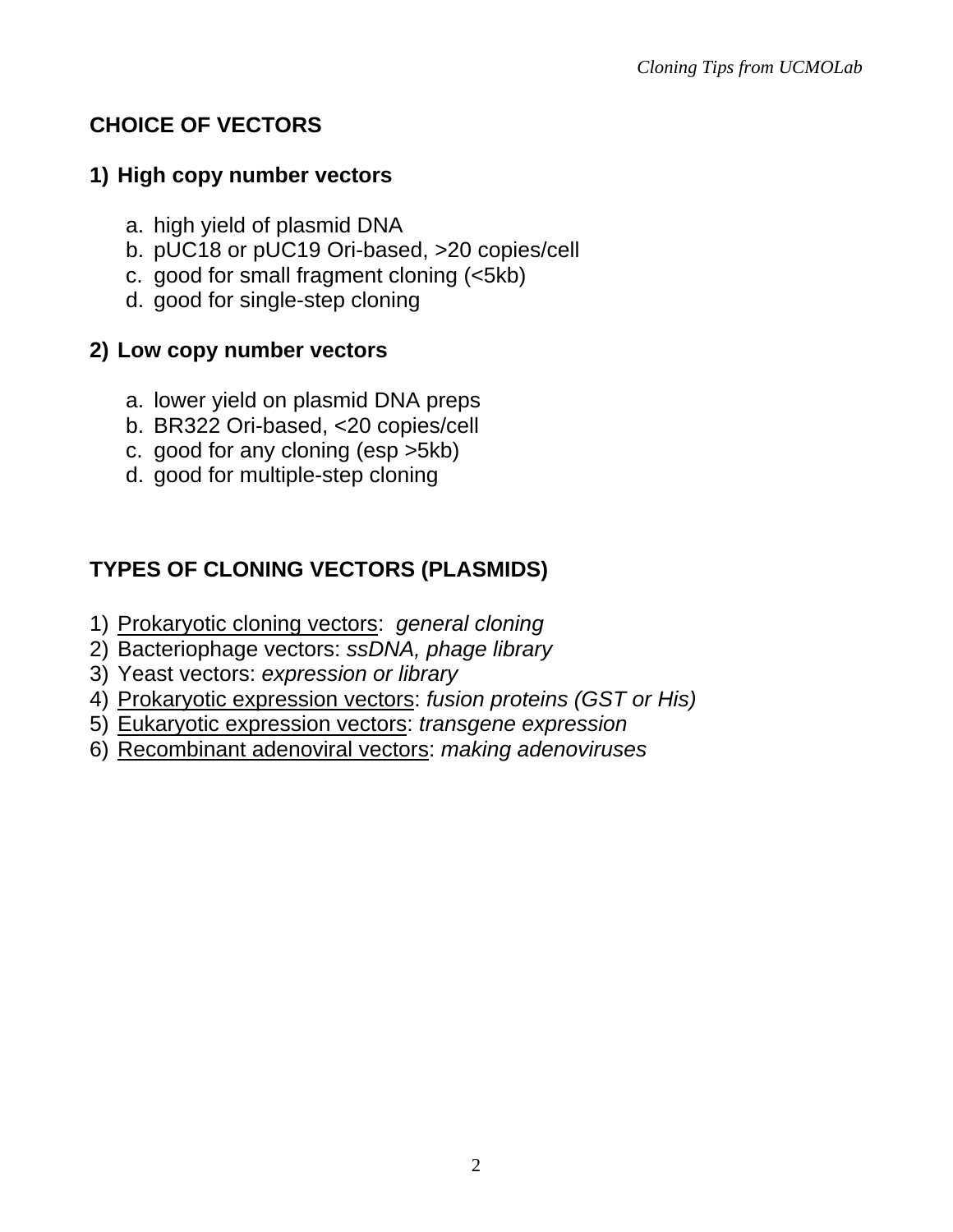### **CHOICE OF VECTORS**

#### **1) High copy number vectors**

- a. high yield of plasmid DNA
- b. pUC18 or pUC19 Ori-based, >20 copies/cell
- c. good for small fragment cloning (<5kb)
- d. good for single-step cloning

#### **2) Low copy number vectors**

- a. lower yield on plasmid DNA preps
- b. BR322 Ori-based, <20 copies/cell
- c. good for any cloning (esp >5kb)
- d. good for multiple-step cloning

# **TYPES OF CLONING VECTORS (PLASMIDS)**

- 1) Prokaryotic cloning vectors: *general cloning*
- 2) Bacteriophage vectors: *ssDNA, phage library*
- 3) Yeast vectors: *expression or library*
- 4) Prokaryotic expression vectors: *fusion proteins (GST or His)*
- 5) Eukaryotic expression vectors: *transgene expression*
- 6) Recombinant adenoviral vectors: *making adenoviruses*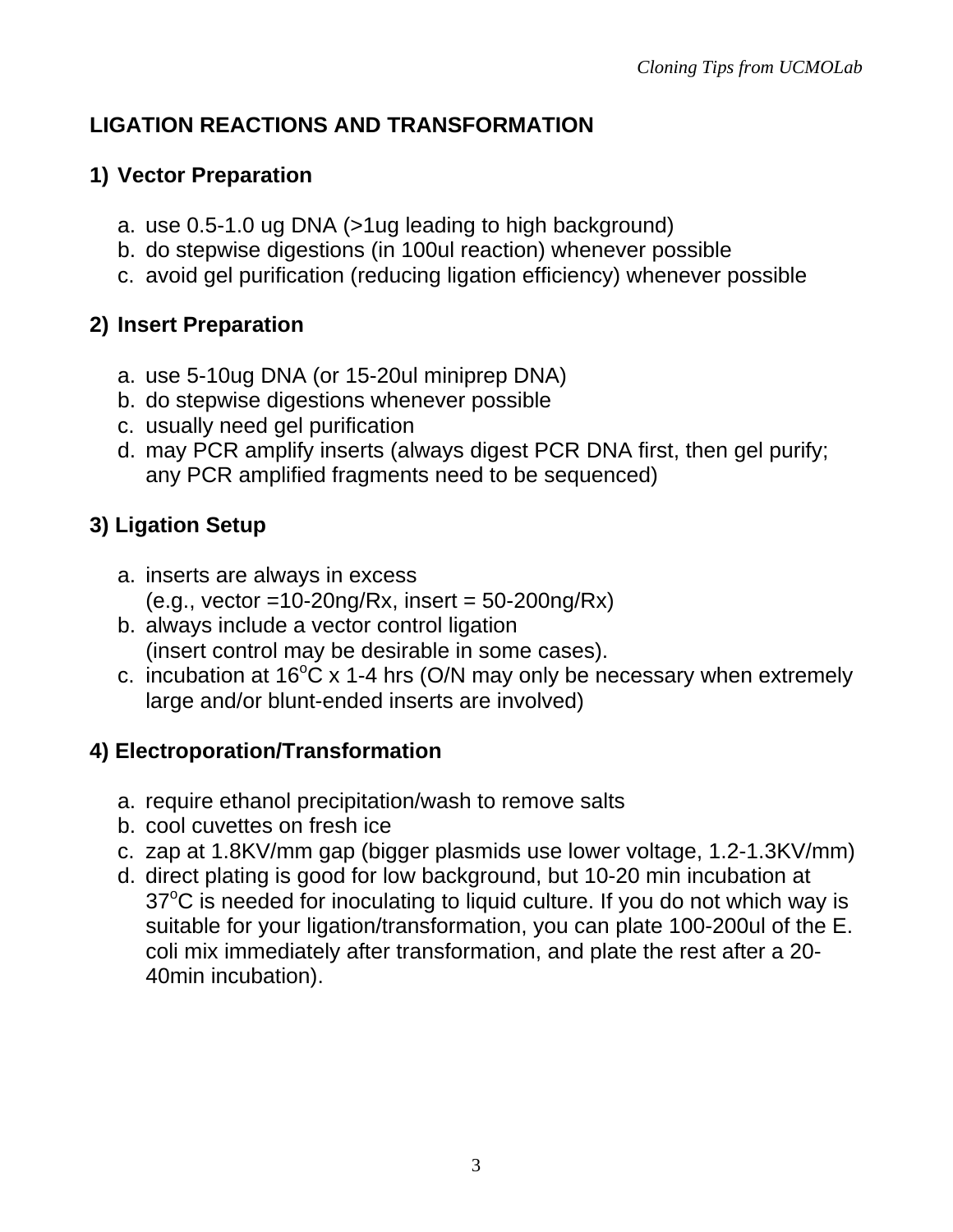### **LIGATION REACTIONS AND TRANSFORMATION**

# **1) Vector Preparation**

- a. use 0.5-1.0 ug DNA (>1ug leading to high background)
- b. do stepwise digestions (in 100ul reaction) whenever possible
- c. avoid gel purification (reducing ligation efficiency) whenever possible

# **2) Insert Preparation**

- a. use 5-10ug DNA (or 15-20ul miniprep DNA)
- b. do stepwise digestions whenever possible
- c. usually need gel purification
- d. may PCR amplify inserts (always digest PCR DNA first, then gel purify; any PCR amplified fragments need to be sequenced)

# **3) Ligation Setup**

- a. inserts are always in excess  $(e.g., vector = 10-20nq/Rx, insert = 50-200nq/Rx)$
- b. always include a vector control ligation (insert control may be desirable in some cases).
- c. incubation at  $16^{\circ}$ C x 1-4 hrs (O/N may only be necessary when extremely large and/or blunt-ended inserts are involved)

# **4) Electroporation/Transformation**

- a. require ethanol precipitation/wash to remove salts
- b. cool cuvettes on fresh ice
- c. zap at 1.8KV/mm gap (bigger plasmids use lower voltage, 1.2-1.3KV/mm)
- d. direct plating is good for low background, but 10-20 min incubation at 37°C is needed for inoculating to liquid culture. If you do not which way is suitable for your ligation/transformation, you can plate 100-200ul of the E. coli mix immediately after transformation, and plate the rest after a 20- 40min incubation).